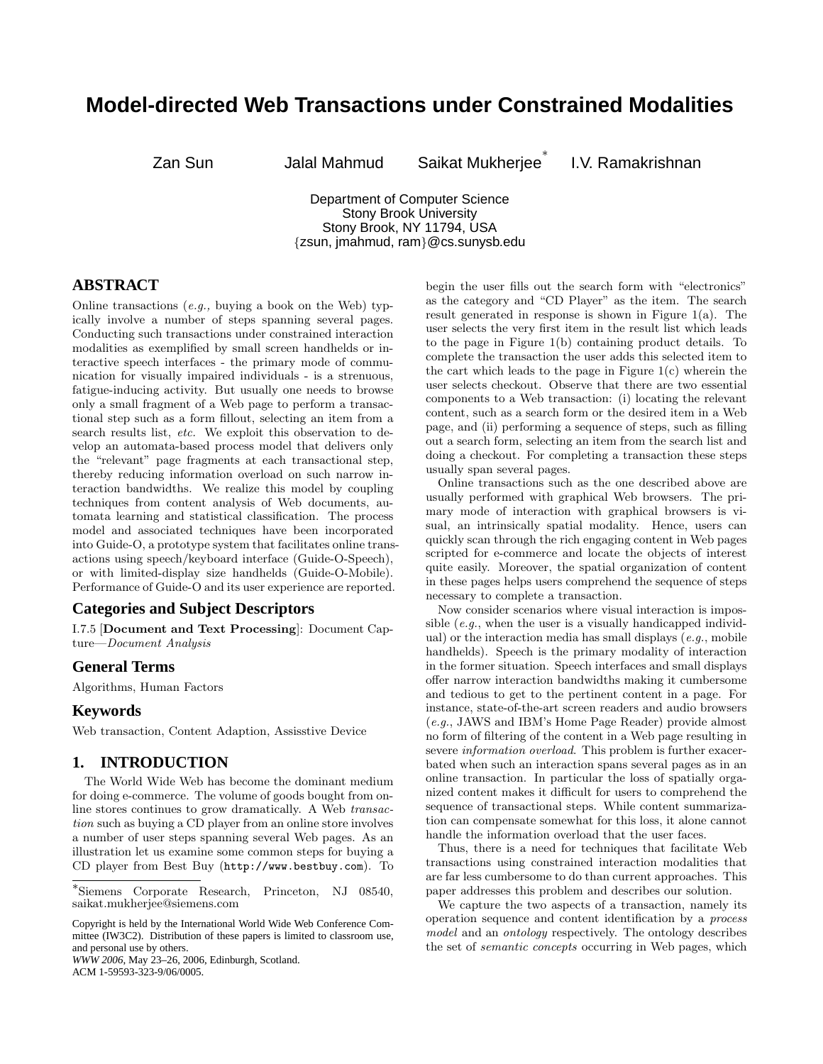# **Model-directed Web Transactions under Constrained Modalities**

Zan Sun Jalal Mahmud Saikat Mukherjee ∗

I.V. Ramakrishnan

Department of Computer Science Stony Brook University Stony Brook, NY 11794, USA {zsun, jmahmud, ram}@cs.sunysb.edu

## **ABSTRACT**

Online transactions  $(e.g.,$  buying a book on the Web) typically involve a number of steps spanning several pages. Conducting such transactions under constrained interaction modalities as exemplified by small screen handhelds or interactive speech interfaces - the primary mode of communication for visually impaired individuals - is a strenuous, fatigue-inducing activity. But usually one needs to browse only a small fragment of a Web page to perform a transactional step such as a form fillout, selecting an item from a search results list, etc. We exploit this observation to develop an automata-based process model that delivers only the "relevant" page fragments at each transactional step, thereby reducing information overload on such narrow interaction bandwidths. We realize this model by coupling techniques from content analysis of Web documents, automata learning and statistical classification. The process model and associated techniques have been incorporated into Guide-O, a prototype system that facilitates online transactions using speech/keyboard interface (Guide-O-Speech), or with limited-display size handhelds (Guide-O-Mobile). Performance of Guide-O and its user experience are reported.

## **Categories and Subject Descriptors**

I.7.5 [Document and Text Processing]: Document Capture—Document Analysis

## **General Terms**

Algorithms, Human Factors

#### **Keywords**

Web transaction, Content Adaption, Assisstive Device

## **1. INTRODUCTION**

The World Wide Web has become the dominant medium for doing e-commerce. The volume of goods bought from online stores continues to grow dramatically. A Web transaction such as buying a CD player from an online store involves a number of user steps spanning several Web pages. As an illustration let us examine some common steps for buying a CD player from Best Buy (http://www.bestbuy.com). To

*WWW 2006*, May 23–26, 2006, Edinburgh, Scotland. ACM 1-59593-323-9/06/0005.

begin the user fills out the search form with "electronics" as the category and "CD Player" as the item. The search result generated in response is shown in Figure 1(a). The user selects the very first item in the result list which leads to the page in Figure 1(b) containing product details. To complete the transaction the user adds this selected item to the cart which leads to the page in Figure 1(c) wherein the user selects checkout. Observe that there are two essential components to a Web transaction: (i) locating the relevant content, such as a search form or the desired item in a Web page, and (ii) performing a sequence of steps, such as filling out a search form, selecting an item from the search list and doing a checkout. For completing a transaction these steps usually span several pages.

Online transactions such as the one described above are usually performed with graphical Web browsers. The primary mode of interaction with graphical browsers is visual, an intrinsically spatial modality. Hence, users can quickly scan through the rich engaging content in Web pages scripted for e-commerce and locate the objects of interest quite easily. Moreover, the spatial organization of content in these pages helps users comprehend the sequence of steps necessary to complete a transaction.

Now consider scenarios where visual interaction is impossible  $(e,q,$ , when the user is a visually handicapped individual) or the interaction media has small displays  $(e.g., \text{ mobile})$ handhelds). Speech is the primary modality of interaction in the former situation. Speech interfaces and small displays offer narrow interaction bandwidths making it cumbersome and tedious to get to the pertinent content in a page. For instance, state-of-the-art screen readers and audio browsers (e.g., JAWS and IBM's Home Page Reader) provide almost no form of filtering of the content in a Web page resulting in severe *information overload*. This problem is further exacerbated when such an interaction spans several pages as in an online transaction. In particular the loss of spatially organized content makes it difficult for users to comprehend the sequence of transactional steps. While content summarization can compensate somewhat for this loss, it alone cannot handle the information overload that the user faces.

Thus, there is a need for techniques that facilitate Web transactions using constrained interaction modalities that are far less cumbersome to do than current approaches. This paper addresses this problem and describes our solution.

We capture the two aspects of a transaction, namely its operation sequence and content identification by a process model and an ontology respectively. The ontology describes the set of semantic concepts occurring in Web pages, which

<sup>∗</sup> Siemens Corporate Research, Princeton, NJ 08540, saikat.mukherjee@siemens.com

Copyright is held by the International World Wide Web Conference Committee (IW3C2). Distribution of these papers is limited to classroom use, and personal use by others.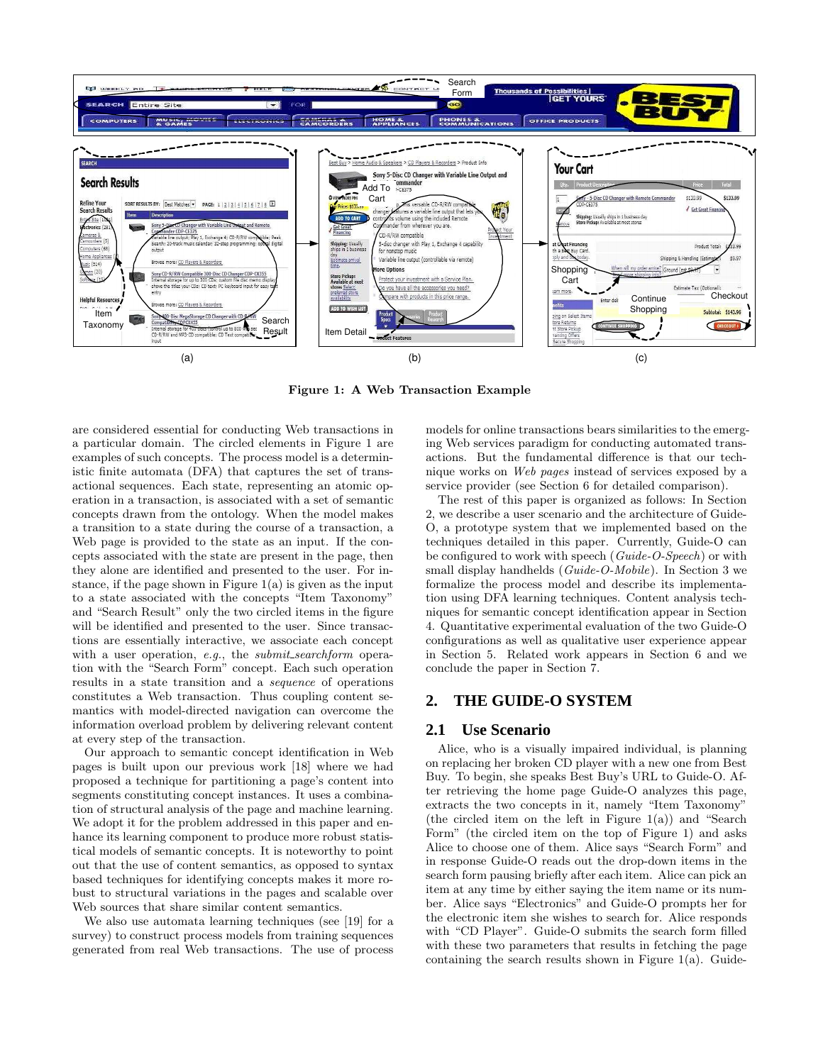

Figure 1: A Web Transaction Example

are considered essential for conducting Web transactions in a particular domain. The circled elements in Figure 1 are examples of such concepts. The process model is a deterministic finite automata (DFA) that captures the set of transactional sequences. Each state, representing an atomic operation in a transaction, is associated with a set of semantic concepts drawn from the ontology. When the model makes a transition to a state during the course of a transaction, a Web page is provided to the state as an input. If the concepts associated with the state are present in the page, then they alone are identified and presented to the user. For instance, if the page shown in Figure  $1(a)$  is given as the input to a state associated with the concepts "Item Taxonomy" and "Search Result" only the two circled items in the figure will be identified and presented to the user. Since transactions are essentially interactive, we associate each concept with a user operation, e.g., the *submit\_searchform* operation with the "Search Form" concept. Each such operation results in a state transition and a sequence of operations constitutes a Web transaction. Thus coupling content semantics with model-directed navigation can overcome the information overload problem by delivering relevant content at every step of the transaction.

Our approach to semantic concept identification in Web pages is built upon our previous work [18] where we had proposed a technique for partitioning a page's content into segments constituting concept instances. It uses a combination of structural analysis of the page and machine learning. We adopt it for the problem addressed in this paper and enhance its learning component to produce more robust statistical models of semantic concepts. It is noteworthy to point out that the use of content semantics, as opposed to syntax based techniques for identifying concepts makes it more robust to structural variations in the pages and scalable over Web sources that share similar content semantics.

We also use automata learning techniques (see [19] for a survey) to construct process models from training sequences generated from real Web transactions. The use of process models for online transactions bears similarities to the emerging Web services paradigm for conducting automated transactions. But the fundamental difference is that our technique works on Web pages instead of services exposed by a service provider (see Section 6 for detailed comparison).

The rest of this paper is organized as follows: In Section 2, we describe a user scenario and the architecture of Guide-O, a prototype system that we implemented based on the techniques detailed in this paper. Currently, Guide-O can be configured to work with speech (Guide-O-Speech) or with small display handhelds (Guide-O-Mobile). In Section 3 we formalize the process model and describe its implementation using DFA learning techniques. Content analysis techniques for semantic concept identification appear in Section 4. Quantitative experimental evaluation of the two Guide-O configurations as well as qualitative user experience appear in Section 5. Related work appears in Section 6 and we conclude the paper in Section 7.

## **2. THE GUIDE-O SYSTEM**

#### **2.1 Use Scenario**

Alice, who is a visually impaired individual, is planning on replacing her broken CD player with a new one from Best Buy. To begin, she speaks Best Buy's URL to Guide-O. After retrieving the home page Guide-O analyzes this page, extracts the two concepts in it, namely "Item Taxonomy" (the circled item on the left in Figure  $1(a)$ ) and "Search" Form" (the circled item on the top of Figure 1) and asks Alice to choose one of them. Alice says "Search Form" and in response Guide-O reads out the drop-down items in the search form pausing briefly after each item. Alice can pick an item at any time by either saying the item name or its number. Alice says "Electronics" and Guide-O prompts her for the electronic item she wishes to search for. Alice responds with "CD Player". Guide-O submits the search form filled with these two parameters that results in fetching the page containing the search results shown in Figure 1(a). Guide-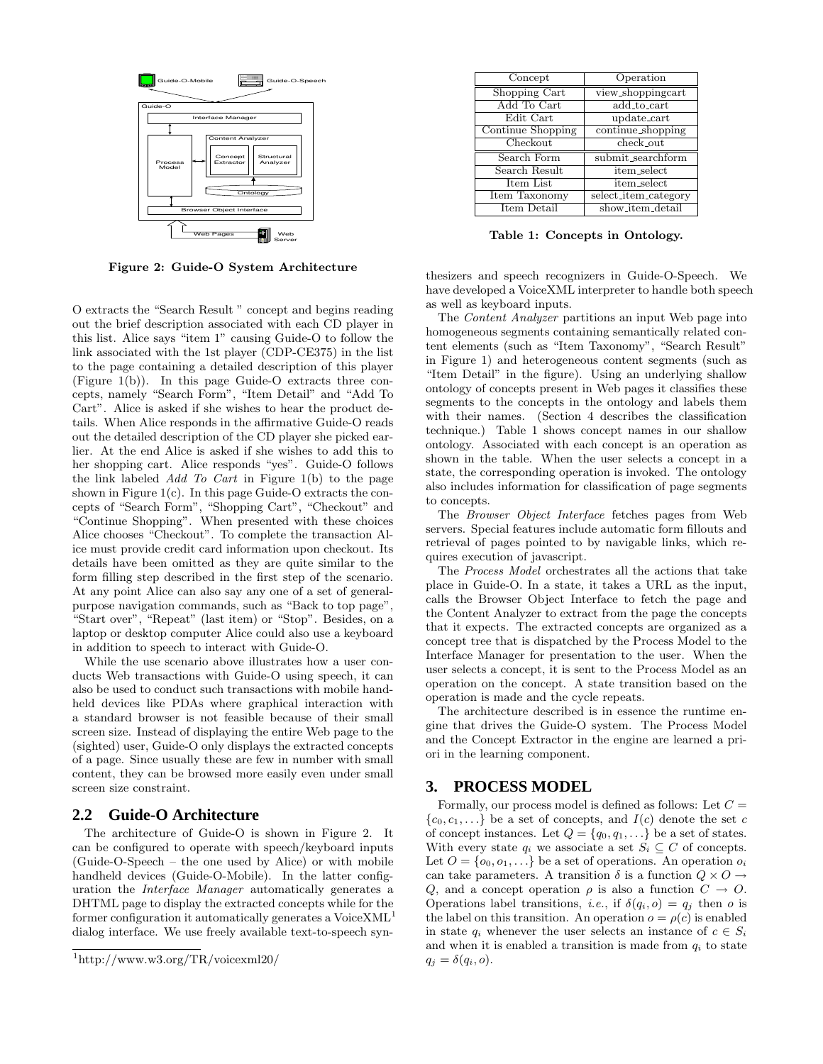

Figure 2: Guide-O System Architecture

O extracts the "Search Result " concept and begins reading out the brief description associated with each CD player in this list. Alice says "item 1" causing Guide-O to follow the link associated with the 1st player (CDP-CE375) in the list to the page containing a detailed description of this player (Figure 1(b)). In this page Guide-O extracts three concepts, namely "Search Form", "Item Detail" and "Add To Cart". Alice is asked if she wishes to hear the product details. When Alice responds in the affirmative Guide-O reads out the detailed description of the CD player she picked earlier. At the end Alice is asked if she wishes to add this to her shopping cart. Alice responds "yes". Guide-O follows the link labeled  $Add$  To Cart in Figure 1(b) to the page shown in Figure  $1(c)$ . In this page Guide-O extracts the concepts of "Search Form", "Shopping Cart", "Checkout" and "Continue Shopping". When presented with these choices Alice chooses "Checkout". To complete the transaction Alice must provide credit card information upon checkout. Its details have been omitted as they are quite similar to the form filling step described in the first step of the scenario. At any point Alice can also say any one of a set of generalpurpose navigation commands, such as "Back to top page", "Start over", "Repeat" (last item) or "Stop". Besides, on a laptop or desktop computer Alice could also use a keyboard in addition to speech to interact with Guide-O.

While the use scenario above illustrates how a user conducts Web transactions with Guide-O using speech, it can also be used to conduct such transactions with mobile handheld devices like PDAs where graphical interaction with a standard browser is not feasible because of their small screen size. Instead of displaying the entire Web page to the (sighted) user, Guide-O only displays the extracted concepts of a page. Since usually these are few in number with small content, they can be browsed more easily even under small screen size constraint.

### **2.2 Guide-O Architecture**

The architecture of Guide-O is shown in Figure 2. It can be configured to operate with speech/keyboard inputs (Guide-O-Speech – the one used by Alice) or with mobile handheld devices (Guide-O-Mobile). In the latter configuration the Interface Manager automatically generates a DHTML page to display the extracted concepts while for the former configuration it automatically generates a VoiceXML<sup>1</sup> dialog interface. We use freely available text-to-speech syn-

| $\overline{\mathrm{Concept}}$ | Operation                                    |
|-------------------------------|----------------------------------------------|
| Shopping Cart                 | view shoppingcart                            |
| Add To Cart                   | add_to_cart                                  |
| Edit Cart                     | update_cart                                  |
| Continue Shopping             | continue_shopping                            |
| Checkout                      | $\overline{\text{check}\text{-} \text{out}}$ |
| Search Form                   | submit_searchform                            |
| Search Result                 | item_select                                  |
| Item List                     | item_select                                  |
| Item Taxonomy                 | select_item_category                         |
| Item Detail                   | show_item_detail                             |
|                               |                                              |

Table 1: Concepts in Ontology.

thesizers and speech recognizers in Guide-O-Speech. We have developed a VoiceXML interpreter to handle both speech as well as keyboard inputs.

The Content Analyzer partitions an input Web page into homogeneous segments containing semantically related content elements (such as "Item Taxonomy", "Search Result" in Figure 1) and heterogeneous content segments (such as "Item Detail" in the figure). Using an underlying shallow ontology of concepts present in Web pages it classifies these segments to the concepts in the ontology and labels them with their names. (Section 4 describes the classification technique.) Table 1 shows concept names in our shallow ontology. Associated with each concept is an operation as shown in the table. When the user selects a concept in a state, the corresponding operation is invoked. The ontology also includes information for classification of page segments to concepts.

The Browser Object Interface fetches pages from Web servers. Special features include automatic form fillouts and retrieval of pages pointed to by navigable links, which requires execution of javascript.

The Process Model orchestrates all the actions that take place in Guide-O. In a state, it takes a URL as the input, calls the Browser Object Interface to fetch the page and the Content Analyzer to extract from the page the concepts that it expects. The extracted concepts are organized as a concept tree that is dispatched by the Process Model to the Interface Manager for presentation to the user. When the user selects a concept, it is sent to the Process Model as an operation on the concept. A state transition based on the operation is made and the cycle repeats.

The architecture described is in essence the runtime engine that drives the Guide-O system. The Process Model and the Concept Extractor in the engine are learned a priori in the learning component.

## **3. PROCESS MODEL**

Formally, our process model is defined as follows: Let  $C =$  ${c_0, c_1, \ldots}$  be a set of concepts, and  $I(c)$  denote the set c of concept instances. Let  $Q = \{q_0, q_1, ...\}$  be a set of states. With every state  $q_i$  we associate a set  $S_i \subseteq C$  of concepts. Let  $O = \{o_0, o_1, \ldots\}$  be a set of operations. An operation  $o_i$ can take parameters. A transition  $\delta$  is a function  $Q \times O \rightarrow$ Q, and a concept operation  $\rho$  is also a function  $C \to O$ . Operations label transitions, *i.e.*, if  $\delta(q_i, o) = q_i$  then *o* is the label on this transition. An operation  $o = \rho(c)$  is enabled in state  $q_i$  whenever the user selects an instance of  $c \in S_i$ and when it is enabled a transition is made from  $q_i$  to state  $q_j = \delta(q_i, o).$ 

<sup>1</sup>http://www.w3.org/TR/voicexml20/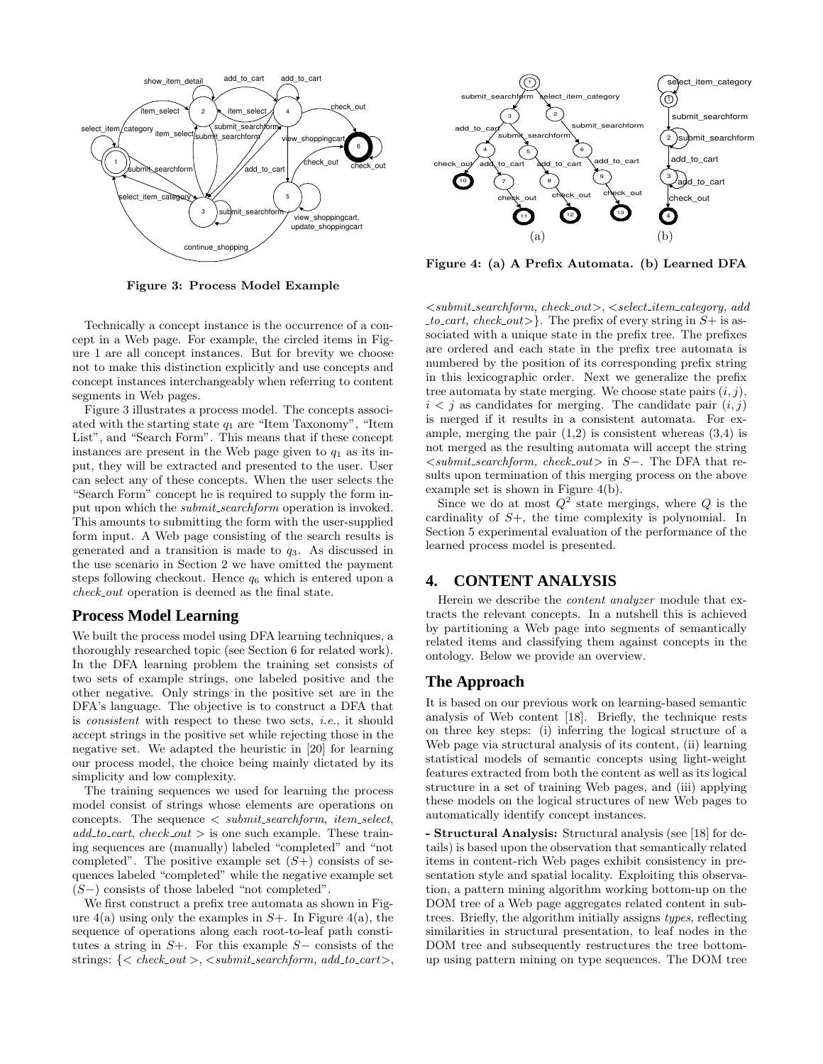

Figure 3: Process Model Example

Technically a concept instance is the occurrence of a concept in a Web page. For example, the circled items in Figure 1 are all concept instances. But for brevity we choose not to make this distinction explicitly and use concepts and concept instances interchangeably when referring to content segments in Web pages.

Figure 3 illustrates a process model. The concepts associated with the starting state  $q_1$  are "Item Taxonomy", "Item List", and "Search Form". This means that if these concept instances are present in the Web page given to  $q_1$  as its input, they will be extracted and presented to the user. User can select any of these concepts. When the user selects the "Search Form" concept he is required to supply the form input upon which the *submit\_searchform* operation is invoked. This amounts to submitting the form with the user-supplied form input. A Web page consisting of the search results is generated and a transition is made to  $q_3$ . As discussed in the use scenario in Section 2 we have omitted the payment steps following checkout. Hence  $q_6$  which is entered upon a check out operation is deemed as the final state.

#### **Process Model Learning**

We built the process model using DFA learning techniques, a thoroughly researched topic (see Section 6 for related work). In the DFA learning problem the training set consists of two sets of example strings, one labeled positive and the other negative. Only strings in the positive set are in the DFA's language. The objective is to construct a DFA that is consistent with respect to these two sets, i.e., it should accept strings in the positive set while rejecting those in the negative set. We adapted the heuristic in [20] for learning our process model, the choice being mainly dictated by its simplicity and low complexity.

The training sequences we used for learning the process model consist of strings whose elements are operations on concepts. The sequence  $\langle$  submit\_searchform, item\_select,  $add\_to\_cart$ ,  $check\_out >$  is one such example. These training sequences are (manually) labeled "completed" and "not completed". The positive example set  $(S+)$  consists of sequences labeled "completed" while the negative example set (S−) consists of those labeled "not completed".

We first construct a prefix tree automata as shown in Figure  $4(a)$  using only the examples in  $S<sup>+</sup>$ . In Figure  $4(a)$ , the sequence of operations along each root-to-leaf path constitutes a string in  $S+$ . For this example  $S-$  consists of the strings:  $\{, <sub>submit</sub> and <sub>1</sub> to_{cart},\}$ 



Figure 4: (a) A Prefix Automata. (b) Learned DFA

 $\leq$ submit\_searchform, check\_out $\gt$ ,  $\leq$ select\_item\_category, add  $-tocart, check\_out >$ . The prefix of every string in  $S+$  is associated with a unique state in the prefix tree. The prefixes are ordered and each state in the prefix tree automata is numbered by the position of its corresponding prefix string in this lexicographic order. Next we generalize the prefix tree automata by state merging. We choose state pairs  $(i, j)$ ,  $i < j$  as candidates for merging. The candidate pair  $(i, j)$ is merged if it results in a consistent automata. For example, merging the pair  $(1,2)$  is consistent whereas  $(3,4)$  is not merged as the resulting automata will accept the string  $\leq submit\_searchform, check\_out>$  in S−. The DFA that results upon termination of this merging process on the above example set is shown in Figure 4(b).

Since we do at most  $Q^2$  state mergings, where Q is the cardinality of S+, the time complexity is polynomial. In Section 5 experimental evaluation of the performance of the learned process model is presented.

## **4. CONTENT ANALYSIS**

Herein we describe the content analyzer module that extracts the relevant concepts. In a nutshell this is achieved by partitioning a Web page into segments of semantically related items and classifying them against concepts in the ontology. Below we provide an overview.

#### **The Approach**

It is based on our previous work on learning-based semantic analysis of Web content [18]. Briefly, the technique rests on three key steps: (i) inferring the logical structure of a Web page via structural analysis of its content, (ii) learning statistical models of semantic concepts using light-weight features extracted from both the content as well as its logical structure in a set of training Web pages, and (iii) applying these models on the logical structures of new Web pages to automatically identify concept instances.

- Structural Analysis: Structural analysis (see [18] for details) is based upon the observation that semantically related items in content-rich Web pages exhibit consistency in presentation style and spatial locality. Exploiting this observation, a pattern mining algorithm working bottom-up on the DOM tree of a Web page aggregates related content in subtrees. Briefly, the algorithm initially assigns types, reflecting similarities in structural presentation, to leaf nodes in the DOM tree and subsequently restructures the tree bottomup using pattern mining on type sequences. The DOM tree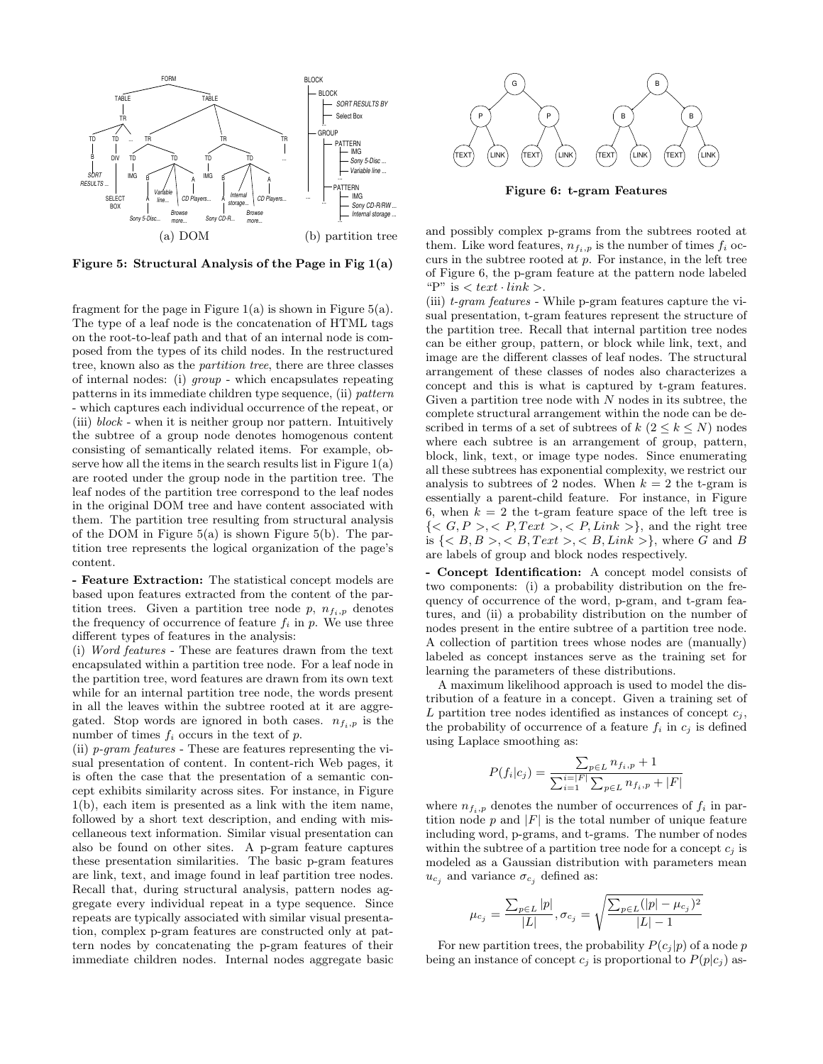

Figure 5: Structural Analysis of the Page in Fig 1(a)

fragment for the page in Figure  $1(a)$  is shown in Figure  $5(a)$ . The type of a leaf node is the concatenation of HTML tags on the root-to-leaf path and that of an internal node is composed from the types of its child nodes. In the restructured tree, known also as the partition tree, there are three classes of internal nodes: (i) group - which encapsulates repeating patterns in its immediate children type sequence, (ii) pattern - which captures each individual occurrence of the repeat, or (iii) block - when it is neither group nor pattern. Intuitively the subtree of a group node denotes homogenous content consisting of semantically related items. For example, observe how all the items in the search results list in Figure  $1(a)$ are rooted under the group node in the partition tree. The leaf nodes of the partition tree correspond to the leaf nodes in the original DOM tree and have content associated with them. The partition tree resulting from structural analysis of the DOM in Figure  $5(a)$  is shown Figure  $5(b)$ . The partition tree represents the logical organization of the page's content.

- Feature Extraction: The statistical concept models are based upon features extracted from the content of the partition trees. Given a partition tree node  $p, n_{f_i,p}$  denotes the frequency of occurrence of feature  $f_i$  in p. We use three different types of features in the analysis:

(i) Word features - These are features drawn from the text encapsulated within a partition tree node. For a leaf node in the partition tree, word features are drawn from its own text while for an internal partition tree node, the words present in all the leaves within the subtree rooted at it are aggregated. Stop words are ignored in both cases.  $n_{f_i,p}$  is the number of times  $f_i$  occurs in the text of  $p$ .

(ii) p-gram features - These are features representing the visual presentation of content. In content-rich Web pages, it is often the case that the presentation of a semantic concept exhibits similarity across sites. For instance, in Figure 1(b), each item is presented as a link with the item name, followed by a short text description, and ending with miscellaneous text information. Similar visual presentation can also be found on other sites. A p-gram feature captures these presentation similarities. The basic p-gram features are link, text, and image found in leaf partition tree nodes. Recall that, during structural analysis, pattern nodes aggregate every individual repeat in a type sequence. Since repeats are typically associated with similar visual presentation, complex p-gram features are constructed only at pattern nodes by concatenating the p-gram features of their immediate children nodes. Internal nodes aggregate basic



Figure 6: t-gram Features

and possibly complex p-grams from the subtrees rooted at them. Like word features,  $n_{f_i,p}$  is the number of times  $f_i$  occurs in the subtree rooted at  $p$ . For instance, in the left tree of Figure 6, the p-gram feature at the pattern node labeled "P" is  $\langle \text{text} \cdot \text{link} \rangle$ .

(iii) t-gram features - While p-gram features capture the visual presentation, t-gram features represent the structure of the partition tree. Recall that internal partition tree nodes can be either group, pattern, or block while link, text, and image are the different classes of leaf nodes. The structural arrangement of these classes of nodes also characterizes a concept and this is what is captured by t-gram features. Given a partition tree node with  $N$  nodes in its subtree, the complete structural arrangement within the node can be described in terms of a set of subtrees of  $k$   $(2 \leq k \leq N)$  nodes where each subtree is an arrangement of group, pattern, block, link, text, or image type nodes. Since enumerating all these subtrees has exponential complexity, we restrict our analysis to subtrees of 2 nodes. When  $k = 2$  the t-gram is essentially a parent-child feature. For instance, in Figure 6, when  $k = 2$  the t-gram feature space of the left tree is  $\{<\,G, P>, <\,P, Text>, <\,P, Link>\},$  and the right tree is  $\{, , \}$ , where G and B are labels of group and block nodes respectively.

- Concept Identification: A concept model consists of two components: (i) a probability distribution on the frequency of occurrence of the word, p-gram, and t-gram features, and (ii) a probability distribution on the number of nodes present in the entire subtree of a partition tree node. A collection of partition trees whose nodes are (manually) labeled as concept instances serve as the training set for learning the parameters of these distributions.

A maximum likelihood approach is used to model the distribution of a feature in a concept. Given a training set of L partition tree nodes identified as instances of concept  $c_i$ , the probability of occurrence of a feature  $f_i$  in  $c_i$  is defined using Laplace smoothing as:

$$
P(f_i|c_j) = \frac{\sum_{p \in L} n_{f_i, p} + 1}{\sum_{i=1}^{i=|F|} \sum_{p \in L} n_{f_i, p} + |F|}
$$

where  $n_{f_i,p}$  denotes the number of occurrences of  $f_i$  in partition node  $p$  and  $|F|$  is the total number of unique feature including word, p-grams, and t-grams. The number of nodes within the subtree of a partition tree node for a concept  $c_j$  is modeled as a Gaussian distribution with parameters mean  $u_{c_i}$  and variance  $\sigma_{c_i}$  defined as:

$$
\mu_{c_j} = \frac{\sum_{p \in L} |p|}{|L|}, \sigma_{c_j} = \sqrt{\frac{\sum_{p \in L} (|p| - \mu_{c_j})^2}{|L| - 1}}
$$

For new partition trees, the probability  $P(c_i | p)$  of a node p being an instance of concept  $c_j$  is proportional to  $P(p|c_j)$  as-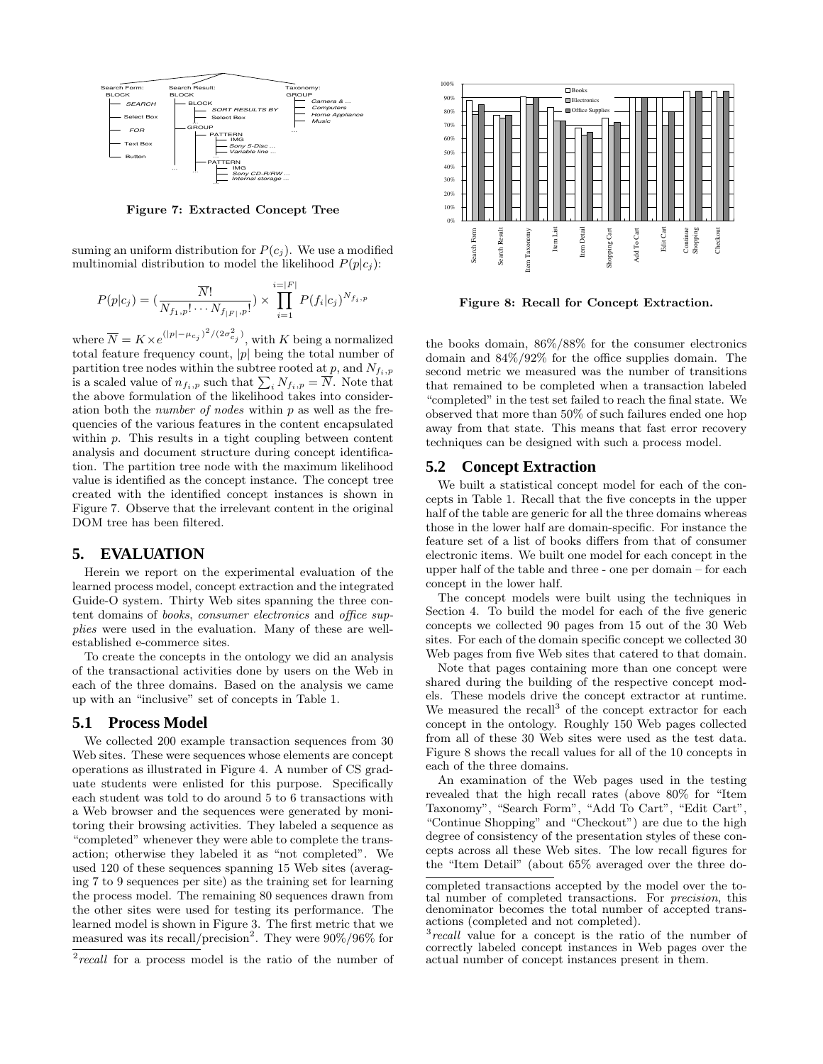

Figure 7: Extracted Concept Tree

suming an uniform distribution for  $P(c_i)$ . We use a modified multinomial distribution to model the likelihood  $P(p|c_i)$ :

$$
P(p|c_j) = (\frac{\overline{N}!}{N_{f_1,p}! \cdots N_{f_{|F|},p}!}) \times \prod_{i=1}^{i=|F|} P(f_i|c_j)^{N_{f_i,p}}
$$

where  $\overline{N} = K \times e^{(|p| - \mu_{c_j})^2/(2\sigma_{c_j}^2)}$ , with K being a normalized total feature frequency count, |p| being the total number of partition tree nodes within the subtree rooted at p, and  $N_{f_i,p}$ partition tree nodes within the subtree rooted at p, and  $N_{f_i,p}$ <br>is a scaled value of  $n_{f_i,p}$  such that  $\sum_i N_{f_i,p} = \overline{N}$ . Note that the above formulation of the likelihood takes into consideration both the *number of nodes* within  $p$  as well as the frequencies of the various features in the content encapsulated within p. This results in a tight coupling between content analysis and document structure during concept identification. The partition tree node with the maximum likelihood value is identified as the concept instance. The concept tree created with the identified concept instances is shown in Figure 7. Observe that the irrelevant content in the original DOM tree has been filtered.

## **5. EVALUATION**

Herein we report on the experimental evaluation of the learned process model, concept extraction and the integrated Guide-O system. Thirty Web sites spanning the three content domains of books, consumer electronics and office supplies were used in the evaluation. Many of these are wellestablished e-commerce sites.

To create the concepts in the ontology we did an analysis of the transactional activities done by users on the Web in each of the three domains. Based on the analysis we came up with an "inclusive" set of concepts in Table 1.

### **5.1 Process Model**

We collected 200 example transaction sequences from 30 Web sites. These were sequences whose elements are concept operations as illustrated in Figure 4. A number of CS graduate students were enlisted for this purpose. Specifically each student was told to do around 5 to 6 transactions with a Web browser and the sequences were generated by monitoring their browsing activities. They labeled a sequence as "completed" whenever they were able to complete the transaction; otherwise they labeled it as "not completed". We used 120 of these sequences spanning 15 Web sites (averaging 7 to 9 sequences per site) as the training set for learning the process model. The remaining 80 sequences drawn from the other sites were used for testing its performance. The learned model is shown in Figure 3. The first metric that we measured was its recall/precision<sup>2</sup>. They were  $90\%/96\%$  for





Figure 8: Recall for Concept Extraction.

the books domain, 86%/88% for the consumer electronics domain and 84%/92% for the office supplies domain. The second metric we measured was the number of transitions that remained to be completed when a transaction labeled "completed" in the test set failed to reach the final state. We observed that more than 50% of such failures ended one hop away from that state. This means that fast error recovery techniques can be designed with such a process model.

## **5.2 Concept Extraction**

We built a statistical concept model for each of the concepts in Table 1. Recall that the five concepts in the upper half of the table are generic for all the three domains whereas those in the lower half are domain-specific. For instance the feature set of a list of books differs from that of consumer electronic items. We built one model for each concept in the upper half of the table and three - one per domain – for each concept in the lower half.

The concept models were built using the techniques in Section 4. To build the model for each of the five generic concepts we collected 90 pages from 15 out of the 30 Web sites. For each of the domain specific concept we collected 30 Web pages from five Web sites that catered to that domain.

Note that pages containing more than one concept were shared during the building of the respective concept models. These models drive the concept extractor at runtime. We measured the recall<sup>3</sup> of the concept extractor for each concept in the ontology. Roughly 150 Web pages collected from all of these 30 Web sites were used as the test data. Figure 8 shows the recall values for all of the 10 concepts in each of the three domains.

An examination of the Web pages used in the testing revealed that the high recall rates (above 80% for "Item Taxonomy", "Search Form", "Add To Cart", "Edit Cart", "Continue Shopping" and "Checkout") are due to the high degree of consistency of the presentation styles of these concepts across all these Web sites. The low recall figures for the "Item Detail" (about 65% averaged over the three do-

completed transactions accepted by the model over the total number of completed transactions. For precision, this denominator becomes the total number of accepted transactions (completed and not completed).

<sup>3</sup> recall value for a concept is the ratio of the number of correctly labeled concept instances in Web pages over the actual number of concept instances present in them.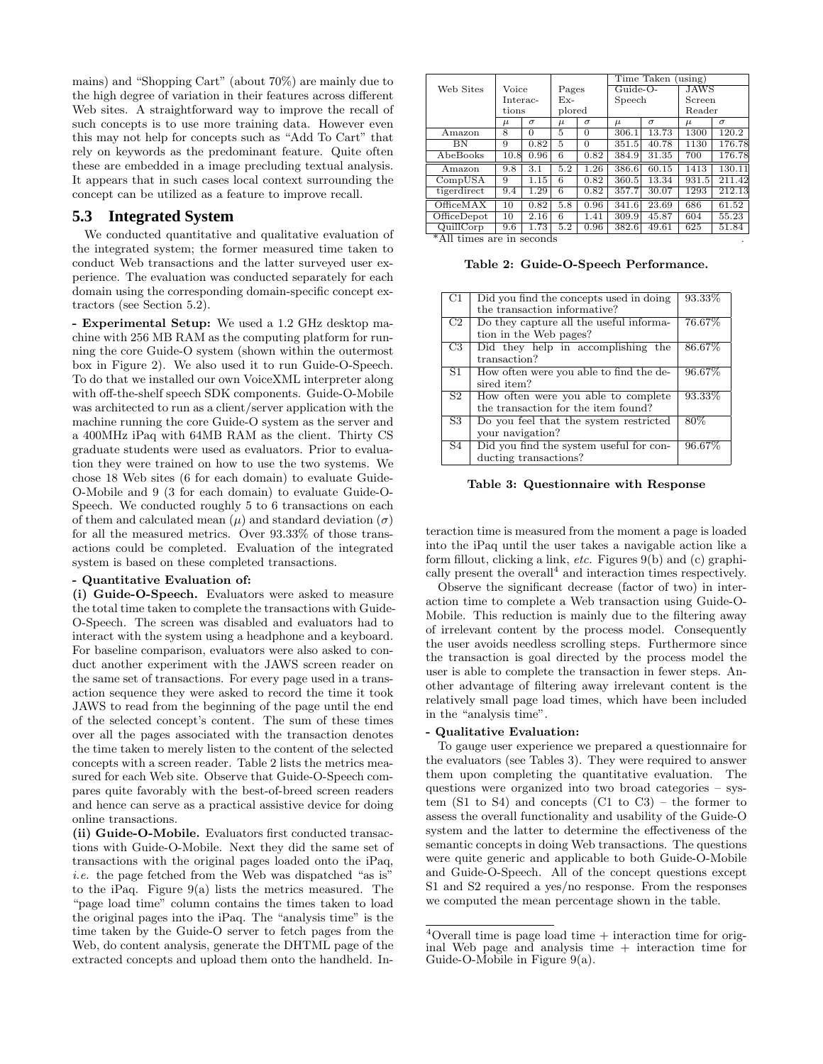mains) and "Shopping Cart" (about 70%) are mainly due to the high degree of variation in their features across different Web sites. A straightforward way to improve the recall of such concepts is to use more training data. However even this may not help for concepts such as "Add To Cart" that rely on keywords as the predominant feature. Quite often these are embedded in a image precluding textual analysis. It appears that in such cases local context surrounding the concept can be utilized as a feature to improve recall.

## **5.3 Integrated System**

We conducted quantitative and qualitative evaluation of the integrated system; the former measured time taken to conduct Web transactions and the latter surveyed user experience. The evaluation was conducted separately for each domain using the corresponding domain-specific concept extractors (see Section 5.2).

- Experimental Setup: We used a 1.2 GHz desktop machine with 256 MB RAM as the computing platform for running the core Guide-O system (shown within the outermost box in Figure 2). We also used it to run Guide-O-Speech. To do that we installed our own VoiceXML interpreter along with off-the-shelf speech SDK components. Guide-O-Mobile was architected to run as a client/server application with the machine running the core Guide-O system as the server and a 400MHz iPaq with 64MB RAM as the client. Thirty CS graduate students were used as evaluators. Prior to evaluation they were trained on how to use the two systems. We chose 18 Web sites (6 for each domain) to evaluate Guide-O-Mobile and 9 (3 for each domain) to evaluate Guide-O-Speech. We conducted roughly 5 to 6 transactions on each of them and calculated mean  $(\mu)$  and standard deviation  $(\sigma)$ for all the measured metrics. Over 93.33% of those transactions could be completed. Evaluation of the integrated system is based on these completed transactions.

#### - Quantitative Evaluation of:

(i) Guide-O-Speech. Evaluators were asked to measure the total time taken to complete the transactions with Guide-O-Speech. The screen was disabled and evaluators had to interact with the system using a headphone and a keyboard. For baseline comparison, evaluators were also asked to conduct another experiment with the JAWS screen reader on the same set of transactions. For every page used in a transaction sequence they were asked to record the time it took JAWS to read from the beginning of the page until the end of the selected concept's content. The sum of these times over all the pages associated with the transaction denotes the time taken to merely listen to the content of the selected concepts with a screen reader. Table 2 lists the metrics measured for each Web site. Observe that Guide-O-Speech compares quite favorably with the best-of-breed screen readers and hence can serve as a practical assistive device for doing online transactions.

(ii) Guide-O-Mobile. Evaluators first conducted transactions with Guide-O-Mobile. Next they did the same set of transactions with the original pages loaded onto the iPaq, i.e. the page fetched from the Web was dispatched "as is" to the iPaq. Figure 9(a) lists the metrics measured. The "page load time" column contains the times taken to load the original pages into the iPaq. The "analysis time" is the time taken by the Guide-O server to fetch pages from the Web, do content analysis, generate the DHTML page of the extracted concepts and upload them onto the handheld. In-

|                     |          |          |        |          | using)<br>Time Taken |          |        |          |  |
|---------------------|----------|----------|--------|----------|----------------------|----------|--------|----------|--|
| Web Sites           | Voice    |          | Pages  |          | Guide-O-             |          | JAWS   |          |  |
|                     | Interac- |          | Ex-    |          | Speech               |          | Screen |          |  |
|                     | tions    |          | plored |          |                      |          | Reader |          |  |
|                     | $\mu$    | $\sigma$ | $\mu$  | $\sigma$ | $\mu$                | $\sigma$ | $\mu$  | $\sigma$ |  |
| Amazon              | 8        | $\Omega$ | 5      | $\Omega$ | 306.1                | 13.73    | 1300   | 120.2    |  |
| ΒN                  | 9        | 0.82     | 5      | $\Omega$ | 351.5                | 40.78    | 1130   | 176.78   |  |
| AbeBooks            | 10.8     | 0.96     | 6      | 0.82     | 384.9                | 31.35    | 700    | 176.78   |  |
| Amazon              | 9.8      | 3.1      | 5.2    | 1.26     | 386.6                | 60.15    | 1413   | 130.11   |  |
| Comp <sub>USA</sub> | 9        | 1.15     | 6      | 0.82     | 360.5                | 13.34    | 931.5  | 211.42   |  |
| tigerdirect         | 9.4      | 1.29     | 6      | 0.82     | 357.7                | 30.07    | 1293   | 212.13   |  |
| OfficeMAX           | 10       | 0.82     | 5.8    | 0.96     | 341.6                | 23.69    | 686    | 61.52    |  |
| OfficeDepot         | 10       | 2.16     | 6      | 1.41     | 309.9                | 45.87    | 604    | 55.23    |  |
| QuillCorp           | 9.6      | 1.73     | 5.2    | 0.96     | 382.6                | 49.61    | 625    | 51.84    |  |
| .                   |          |          |        |          |                      |          |        |          |  |

\*All times are in seconds .

Table 2: Guide-O-Speech Performance.

| C1                     | Did you find the concepts used in doing | 93.33% |
|------------------------|-----------------------------------------|--------|
|                        | the transaction informative?            |        |
| $\overline{\text{C2}}$ | Do they capture all the useful informa- | 76.67% |
|                        | tion in the Web pages?                  |        |
| $\overline{\text{C3}}$ | Did they help in accomplishing the      | 86.67% |
|                        | transaction?                            |        |
| S1                     | How often were you able to find the de- | 96.67% |
|                        | sired item?                             |        |
| S <sub>2</sub>         | How often were you able to complete     | 93.33% |
|                        | the transaction for the item found?     |        |
| S3                     | Do you feel that the system restricted  | 80%    |
|                        | your navigation?                        |        |
| S4                     | Did you find the system useful for con- | 96.67% |
|                        | ducting transactions?                   |        |

Table 3: Questionnaire with Response

teraction time is measured from the moment a page is loaded into the iPaq until the user takes a navigable action like a form fillout, clicking a link, etc. Figures 9(b) and (c) graphically present the overall<sup>4</sup> and interaction times respectively.

Observe the significant decrease (factor of two) in interaction time to complete a Web transaction using Guide-O-Mobile. This reduction is mainly due to the filtering away of irrelevant content by the process model. Consequently the user avoids needless scrolling steps. Furthermore since the transaction is goal directed by the process model the user is able to complete the transaction in fewer steps. Another advantage of filtering away irrelevant content is the relatively small page load times, which have been included in the "analysis time".

#### - Qualitative Evaluation:

To gauge user experience we prepared a questionnaire for the evaluators (see Tables 3). They were required to answer them upon completing the quantitative evaluation. The questions were organized into two broad categories – system  $(S1 \text{ to } S4)$  and concepts  $(C1 \text{ to } C3)$  – the former to assess the overall functionality and usability of the Guide-O system and the latter to determine the effectiveness of the semantic concepts in doing Web transactions. The questions were quite generic and applicable to both Guide-O-Mobile and Guide-O-Speech. All of the concept questions except S1 and S2 required a yes/no response. From the responses we computed the mean percentage shown in the table.

 $^4\rm{Overall}$  time is page load time  $+$  interaction time for original Web page and analysis time  $+$  interaction time for Guide-O-Mobile in Figure 9(a).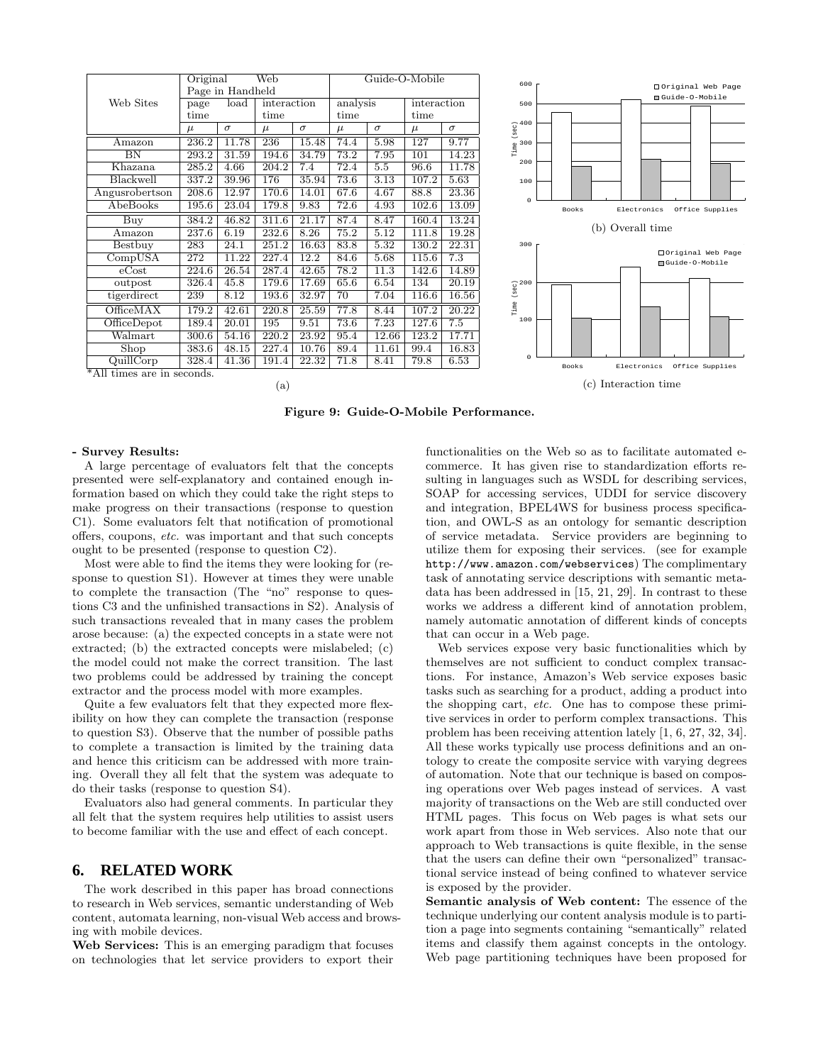|                            | Web<br>Original |                  |             |          | Guide-O-Mobile |          |             |          | 600                                                                                                      |
|----------------------------|-----------------|------------------|-------------|----------|----------------|----------|-------------|----------|----------------------------------------------------------------------------------------------------------|
|                            |                 | Page in Handheld |             |          |                |          |             |          | □ Original Web Page<br>□ Guide-O-Mobile                                                                  |
| Web Sites                  | page            | $_{\text{load}}$ | interaction |          | analysis       |          | interaction |          | 500                                                                                                      |
|                            | time            |                  | time        |          | time           |          | time        |          |                                                                                                          |
|                            | $\mu$           | $\sigma$         | $\mu$       | $\sigma$ | $\mu$          | $\sigma$ | $\mu$       | $\sigma$ | $\frac{1}{90}$ 400                                                                                       |
| Amazon                     | 236.2           | 11.78            | 236         | 15.48    | 74.4           | 5.98     | 127         | 9.77     |                                                                                                          |
| BN                         | 293.2           | 31.59            | 194.6       | 34.79    | 73.2           | 7.95     | 101         | 14.23    | $\mathop{\mathbb{E}}_{\mathbb{H}}^{3\,0\,0}$                                                             |
| Khazana                    | 285.2           | 4.66             | 204.2       | 7.4      | 72.4           | 5.5      | 96.6        | 11.78    | 200                                                                                                      |
| Blackwell                  | 337.2           | 39.96            | 176         | 35.94    | 73.6           | 3.13     | 107.2       | 5.63     | 100                                                                                                      |
| Angusrobertson             | 208.6           | 12.97            | 170.6       | 14.01    | 67.6           | 4.67     | 88.8        | 23.36    |                                                                                                          |
| AbeBooks                   | 195.6           | 23.04            | 179.8       | 9.83     | 72.6           | 4.93     | 102.6       | 13.09    | $\circ$<br>Books<br>Office Supplies<br>Electronics                                                       |
| Buy                        | 384.2           | 46.82            | 311.6       | 21.17    | 87.4           | 8.47     | 160.4       | 13.24    |                                                                                                          |
| Amazon                     | 237.6           | 6.19             | 232.6       | 8.26     | 75.2           | 5.12     | 111.8       | 19.28    | (b) Overall time                                                                                         |
| Bestbuy                    | 283             | 24.1             | 251.2       | 16.63    | 83.8           | 5.32     | 130.2       | 22.31    | 300                                                                                                      |
| CompUSA                    | 272             | 11.22            | 227.4       | 12.2     | 84.6           | 5.68     | 115.6       | 7.3      | □ Original Web Page<br><b>□</b> Guide-O-Mobile                                                           |
| eCost                      | 224.6           | 26.54            | 287.4       | 42.65    | 78.2           | 11.3     | 142.6       | 14.89    |                                                                                                          |
| outpost                    | 326.4           | 45.8             | 179.6       | 17.69    | 65.6           | 6.54     | 134         | 20.19    | $\begin{smallmatrix} \widehat{\mathbf{U}} & 2 & 0 & 0 \ 0 & 0 & 0 & 0 \ 0 & 0 & 0 & 0 \end{smallmatrix}$ |
| tigerdirect                | 239             | 8.12             | 193.6       | 32.97    | 70             | 7.04     | 116.6       | 16.56    |                                                                                                          |
| OfficeMAX                  | 179.2           | 42.61            | 220.8       | 25.59    | 77.8           | 8.44     | 107.2       | 20.22    | Time                                                                                                     |
| <b>OfficeDepot</b>         | 189.4           | 20.01            | 195         | 9.51     | 73.6           | 7.23     | 127.6       | 7.5      | 100                                                                                                      |
| Walmart                    | 300.6           | 54.16            | 220.2       | 23.92    | 95.4           | 12.66    | 123.2       | 17.71    |                                                                                                          |
| Shop                       | 383.6           | 48.15            | 227.4       | 10.76    | 89.4           | 11.61    | 99.4        | 16.83    |                                                                                                          |
| QuillCorp                  | 328.4           | 41.36            | 191.4       | 22.32    | 71.8           | 8.41     | 79.8        | 6.53     | $\Omega$<br>Books<br>Electronics<br>Office Supplies                                                      |
| *All times are in seconds. |                 |                  |             |          |                |          |             |          |                                                                                                          |
|                            |                 |                  | (a)         |          |                |          |             |          | (c)<br>Interaction time                                                                                  |

Figure 9: Guide-O-Mobile Performance.

#### - Survey Results:

A large percentage of evaluators felt that the concepts presented were self-explanatory and contained enough information based on which they could take the right steps to make progress on their transactions (response to question C1). Some evaluators felt that notification of promotional offers, coupons, etc. was important and that such concepts ought to be presented (response to question C2).

Most were able to find the items they were looking for (response to question S1). However at times they were unable to complete the transaction (The "no" response to questions C3 and the unfinished transactions in S2). Analysis of such transactions revealed that in many cases the problem arose because: (a) the expected concepts in a state were not extracted; (b) the extracted concepts were mislabeled; (c) the model could not make the correct transition. The last two problems could be addressed by training the concept extractor and the process model with more examples.

Quite a few evaluators felt that they expected more flexibility on how they can complete the transaction (response to question S3). Observe that the number of possible paths to complete a transaction is limited by the training data and hence this criticism can be addressed with more training. Overall they all felt that the system was adequate to do their tasks (response to question S4).

Evaluators also had general comments. In particular they all felt that the system requires help utilities to assist users to become familiar with the use and effect of each concept.

## **6. RELATED WORK**

The work described in this paper has broad connections to research in Web services, semantic understanding of Web content, automata learning, non-visual Web access and browsing with mobile devices.

Web Services: This is an emerging paradigm that focuses on technologies that let service providers to export their

functionalities on the Web so as to facilitate automated ecommerce. It has given rise to standardization efforts resulting in languages such as WSDL for describing services, SOAP for accessing services, UDDI for service discovery and integration, BPEL4WS for business process specification, and OWL-S as an ontology for semantic description of service metadata. Service providers are beginning to utilize them for exposing their services. (see for example http://www.amazon.com/webservices) The complimentary task of annotating service descriptions with semantic metadata has been addressed in [15, 21, 29]. In contrast to these works we address a different kind of annotation problem, namely automatic annotation of different kinds of concepts that can occur in a Web page.

Web services expose very basic functionalities which by themselves are not sufficient to conduct complex transactions. For instance, Amazon's Web service exposes basic tasks such as searching for a product, adding a product into the shopping cart, etc. One has to compose these primitive services in order to perform complex transactions. This problem has been receiving attention lately [1, 6, 27, 32, 34]. All these works typically use process definitions and an ontology to create the composite service with varying degrees of automation. Note that our technique is based on composing operations over Web pages instead of services. A vast majority of transactions on the Web are still conducted over HTML pages. This focus on Web pages is what sets our work apart from those in Web services. Also note that our approach to Web transactions is quite flexible, in the sense that the users can define their own "personalized" transactional service instead of being confined to whatever service is exposed by the provider.

Semantic analysis of Web content: The essence of the technique underlying our content analysis module is to partition a page into segments containing "semantically" related items and classify them against concepts in the ontology. Web page partitioning techniques have been proposed for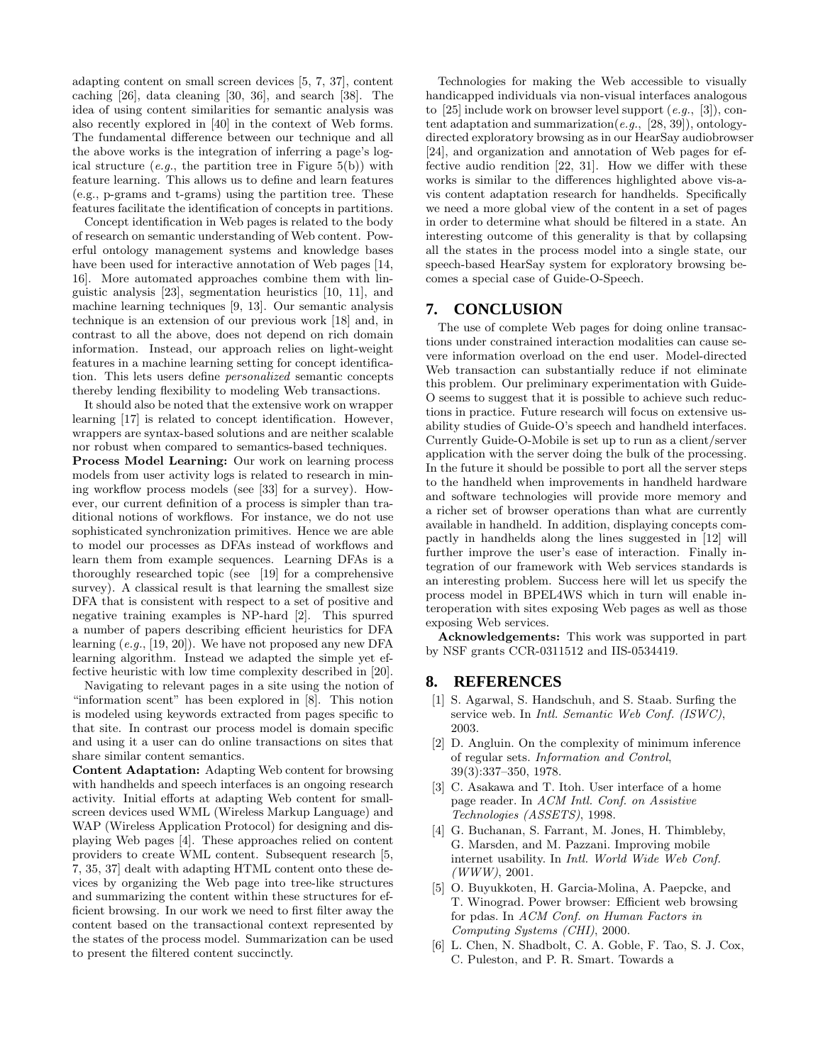adapting content on small screen devices [5, 7, 37], content caching [26], data cleaning [30, 36], and search [38]. The idea of using content similarities for semantic analysis was also recently explored in [40] in the context of Web forms. The fundamental difference between our technique and all the above works is the integration of inferring a page's logical structure  $(e.g.,\)$  the partition tree in Figure 5(b)) with feature learning. This allows us to define and learn features (e.g., p-grams and t-grams) using the partition tree. These features facilitate the identification of concepts in partitions.

Concept identification in Web pages is related to the body of research on semantic understanding of Web content. Powerful ontology management systems and knowledge bases have been used for interactive annotation of Web pages [14, 16]. More automated approaches combine them with linguistic analysis [23], segmentation heuristics [10, 11], and machine learning techniques [9, 13]. Our semantic analysis technique is an extension of our previous work [18] and, in contrast to all the above, does not depend on rich domain information. Instead, our approach relies on light-weight features in a machine learning setting for concept identification. This lets users define personalized semantic concepts thereby lending flexibility to modeling Web transactions.

It should also be noted that the extensive work on wrapper learning [17] is related to concept identification. However, wrappers are syntax-based solutions and are neither scalable nor robust when compared to semantics-based techniques. Process Model Learning: Our work on learning process models from user activity logs is related to research in mining workflow process models (see [33] for a survey). However, our current definition of a process is simpler than traditional notions of workflows. For instance, we do not use sophisticated synchronization primitives. Hence we are able to model our processes as DFAs instead of workflows and learn them from example sequences. Learning DFAs is a thoroughly researched topic (see [19] for a comprehensive survey). A classical result is that learning the smallest size DFA that is consistent with respect to a set of positive and negative training examples is NP-hard [2]. This spurred a number of papers describing efficient heuristics for DFA learning  $(e.g., [19, 20])$ . We have not proposed any new DFA learning algorithm. Instead we adapted the simple yet effective heuristic with low time complexity described in [20].

Navigating to relevant pages in a site using the notion of "information scent" has been explored in [8]. This notion is modeled using keywords extracted from pages specific to that site. In contrast our process model is domain specific and using it a user can do online transactions on sites that share similar content semantics.

Content Adaptation: Adapting Web content for browsing with handhelds and speech interfaces is an ongoing research activity. Initial efforts at adapting Web content for smallscreen devices used WML (Wireless Markup Language) and WAP (Wireless Application Protocol) for designing and displaying Web pages [4]. These approaches relied on content providers to create WML content. Subsequent research [5, 7, 35, 37] dealt with adapting HTML content onto these devices by organizing the Web page into tree-like structures and summarizing the content within these structures for efficient browsing. In our work we need to first filter away the content based on the transactional context represented by the states of the process model. Summarization can be used to present the filtered content succinctly.

Technologies for making the Web accessible to visually handicapped individuals via non-visual interfaces analogous to [25] include work on browser level support  $(e.g., 3]$ ), content adaptation and summarization(e.g., [28, 39]), ontologydirected exploratory browsing as in our HearSay audiobrowser [24], and organization and annotation of Web pages for effective audio rendition [22, 31]. How we differ with these works is similar to the differences highlighted above vis-avis content adaptation research for handhelds. Specifically we need a more global view of the content in a set of pages in order to determine what should be filtered in a state. An interesting outcome of this generality is that by collapsing all the states in the process model into a single state, our speech-based HearSay system for exploratory browsing becomes a special case of Guide-O-Speech.

## **7. CONCLUSION**

The use of complete Web pages for doing online transactions under constrained interaction modalities can cause severe information overload on the end user. Model-directed Web transaction can substantially reduce if not eliminate this problem. Our preliminary experimentation with Guide-O seems to suggest that it is possible to achieve such reductions in practice. Future research will focus on extensive usability studies of Guide-O's speech and handheld interfaces. Currently Guide-O-Mobile is set up to run as a client/server application with the server doing the bulk of the processing. In the future it should be possible to port all the server steps to the handheld when improvements in handheld hardware and software technologies will provide more memory and a richer set of browser operations than what are currently available in handheld. In addition, displaying concepts compactly in handhelds along the lines suggested in [12] will further improve the user's ease of interaction. Finally integration of our framework with Web services standards is an interesting problem. Success here will let us specify the process model in BPEL4WS which in turn will enable interoperation with sites exposing Web pages as well as those exposing Web services.

Acknowledgements: This work was supported in part by NSF grants CCR-0311512 and IIS-0534419.

## **8. REFERENCES**

- [1] S. Agarwal, S. Handschuh, and S. Staab. Surfing the service web. In Intl. Semantic Web Conf. (ISWC), 2003.
- [2] D. Angluin. On the complexity of minimum inference of regular sets. Information and Control, 39(3):337–350, 1978.
- [3] C. Asakawa and T. Itoh. User interface of a home page reader. In ACM Intl. Conf. on Assistive Technologies (ASSETS), 1998.
- [4] G. Buchanan, S. Farrant, M. Jones, H. Thimbleby, G. Marsden, and M. Pazzani. Improving mobile internet usability. In Intl. World Wide Web Conf.  $(WWW)$ , 2001.
- [5] O. Buyukkoten, H. Garcia-Molina, A. Paepcke, and T. Winograd. Power browser: Efficient web browsing for pdas. In ACM Conf. on Human Factors in Computing Systems (CHI), 2000.
- [6] L. Chen, N. Shadbolt, C. A. Goble, F. Tao, S. J. Cox, C. Puleston, and P. R. Smart. Towards a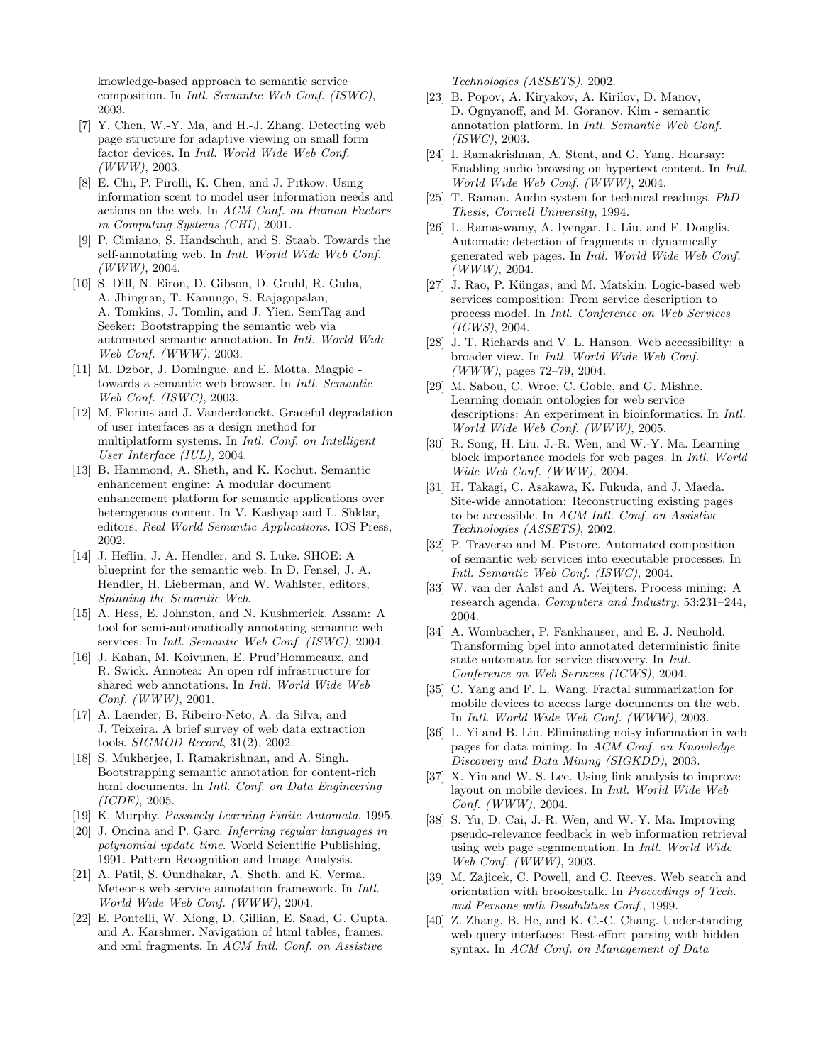knowledge-based approach to semantic service composition. In Intl. Semantic Web Conf. (ISWC), 2003.

- [7] Y. Chen, W.-Y. Ma, and H.-J. Zhang. Detecting web page structure for adaptive viewing on small form factor devices. In Intl. World Wide Web Conf.  $(WWW)$ , 2003.
- [8] E. Chi, P. Pirolli, K. Chen, and J. Pitkow. Using information scent to model user information needs and actions on the web. In ACM Conf. on Human Factors in Computing Systems (CHI), 2001.
- [9] P. Cimiano, S. Handschuh, and S. Staab. Towards the self-annotating web. In Intl. World Wide Web Conf.  $(WWW)$ , 2004.
- [10] S. Dill, N. Eiron, D. Gibson, D. Gruhl, R. Guha, A. Jhingran, T. Kanungo, S. Rajagopalan, A. Tomkins, J. Tomlin, and J. Yien. SemTag and Seeker: Bootstrapping the semantic web via automated semantic annotation. In Intl. World Wide Web Conf. (WWW), 2003.
- [11] M. Dzbor, J. Domingue, and E. Motta. Magpie towards a semantic web browser. In Intl. Semantic Web Conf. (ISWC), 2003.
- [12] M. Florins and J. Vanderdonckt. Graceful degradation of user interfaces as a design method for multiplatform systems. In Intl. Conf. on Intelligent User Interface (IUL), 2004.
- [13] B. Hammond, A. Sheth, and K. Kochut. Semantic enhancement engine: A modular document enhancement platform for semantic applications over heterogenous content. In V. Kashyap and L. Shklar, editors, Real World Semantic Applications. IOS Press, 2002.
- [14] J. Heflin, J. A. Hendler, and S. Luke. SHOE: A blueprint for the semantic web. In D. Fensel, J. A. Hendler, H. Lieberman, and W. Wahlster, editors, Spinning the Semantic Web.
- [15] A. Hess, E. Johnston, and N. Kushmerick. Assam: A tool for semi-automatically annotating semantic web services. In Intl. Semantic Web Conf. (ISWC), 2004.
- [16] J. Kahan, M. Koivunen, E. Prud'Hommeaux, and R. Swick. Annotea: An open rdf infrastructure for shared web annotations. In Intl. World Wide Web Conf. (WWW), 2001.
- [17] A. Laender, B. Ribeiro-Neto, A. da Silva, and J. Teixeira. A brief survey of web data extraction tools. SIGMOD Record, 31(2), 2002.
- [18] S. Mukherjee, I. Ramakrishnan, and A. Singh. Bootstrapping semantic annotation for content-rich html documents. In Intl. Conf. on Data Engineering (ICDE), 2005.
- [19] K. Murphy. Passively Learning Finite Automata, 1995.
- [20] J. Oncina and P. Garc. Inferring regular languages in polynomial update time. World Scientific Publishing, 1991. Pattern Recognition and Image Analysis.
- [21] A. Patil, S. Oundhakar, A. Sheth, and K. Verma. Meteor-s web service annotation framework. In Intl. World Wide Web Conf. (WWW), 2004.
- [22] E. Pontelli, W. Xiong, D. Gillian, E. Saad, G. Gupta, and A. Karshmer. Navigation of html tables, frames, and xml fragments. In ACM Intl. Conf. on Assistive

Technologies (ASSETS), 2002.

- [23] B. Popov, A. Kiryakov, A. Kirilov, D. Manov, D. Ognyanoff, and M. Goranov. Kim - semantic annotation platform. In Intl. Semantic Web Conf. (ISWC), 2003.
- [24] I. Ramakrishnan, A. Stent, and G. Yang. Hearsay: Enabling audio browsing on hypertext content. In Intl. World Wide Web Conf. (WWW), 2004.
- [25] T. Raman. Audio system for technical readings. PhD Thesis, Cornell University, 1994.
- [26] L. Ramaswamy, A. Iyengar, L. Liu, and F. Douglis. Automatic detection of fragments in dynamically generated web pages. In Intl. World Wide Web Conf.  $(WWW)$ , 2004.
- [27] J. Rao, P. Küngas, and M. Matskin. Logic-based web services composition: From service description to process model. In Intl. Conference on Web Services (ICWS), 2004.
- [28] J. T. Richards and V. L. Hanson. Web accessibility: a broader view. In Intl. World Wide Web Conf.  $(WWW)$ , pages 72–79, 2004.
- [29] M. Sabou, C. Wroe, C. Goble, and G. Mishne. Learning domain ontologies for web service descriptions: An experiment in bioinformatics. In Intl. World Wide Web Conf. (WWW), 2005.
- [30] R. Song, H. Liu, J.-R. Wen, and W.-Y. Ma. Learning block importance models for web pages. In Intl. World Wide Web Conf. (WWW), 2004.
- [31] H. Takagi, C. Asakawa, K. Fukuda, and J. Maeda. Site-wide annotation: Reconstructing existing pages to be accessible. In ACM Intl. Conf. on Assistive Technologies (ASSETS), 2002.
- [32] P. Traverso and M. Pistore. Automated composition of semantic web services into executable processes. In Intl. Semantic Web Conf. (ISWC), 2004.
- [33] W. van der Aalst and A. Weijters. Process mining: A research agenda. Computers and Industry, 53:231–244, 2004.
- [34] A. Wombacher, P. Fankhauser, and E. J. Neuhold. Transforming bpel into annotated deterministic finite state automata for service discovery. In Intl. Conference on Web Services (ICWS), 2004.
- [35] C. Yang and F. L. Wang. Fractal summarization for mobile devices to access large documents on the web. In Intl. World Wide Web Conf. (WWW), 2003.
- [36] L. Yi and B. Liu. Eliminating noisy information in web pages for data mining. In ACM Conf. on Knowledge Discovery and Data Mining (SIGKDD), 2003.
- [37] X. Yin and W. S. Lee. Using link analysis to improve layout on mobile devices. In Intl. World Wide Web Conf. (WWW), 2004.
- [38] S. Yu, D. Cai, J.-R. Wen, and W.-Y. Ma. Improving pseudo-relevance feedback in web information retrieval using web page segnmentation. In Intl. World Wide Web Conf. (WWW), 2003.
- [39] M. Zajicek, C. Powell, and C. Reeves. Web search and orientation with brookestalk. In Proceedings of Tech. and Persons with Disabilities Conf., 1999.
- [40] Z. Zhang, B. He, and K. C.-C. Chang. Understanding web query interfaces: Best-effort parsing with hidden syntax. In ACM Conf. on Management of Data